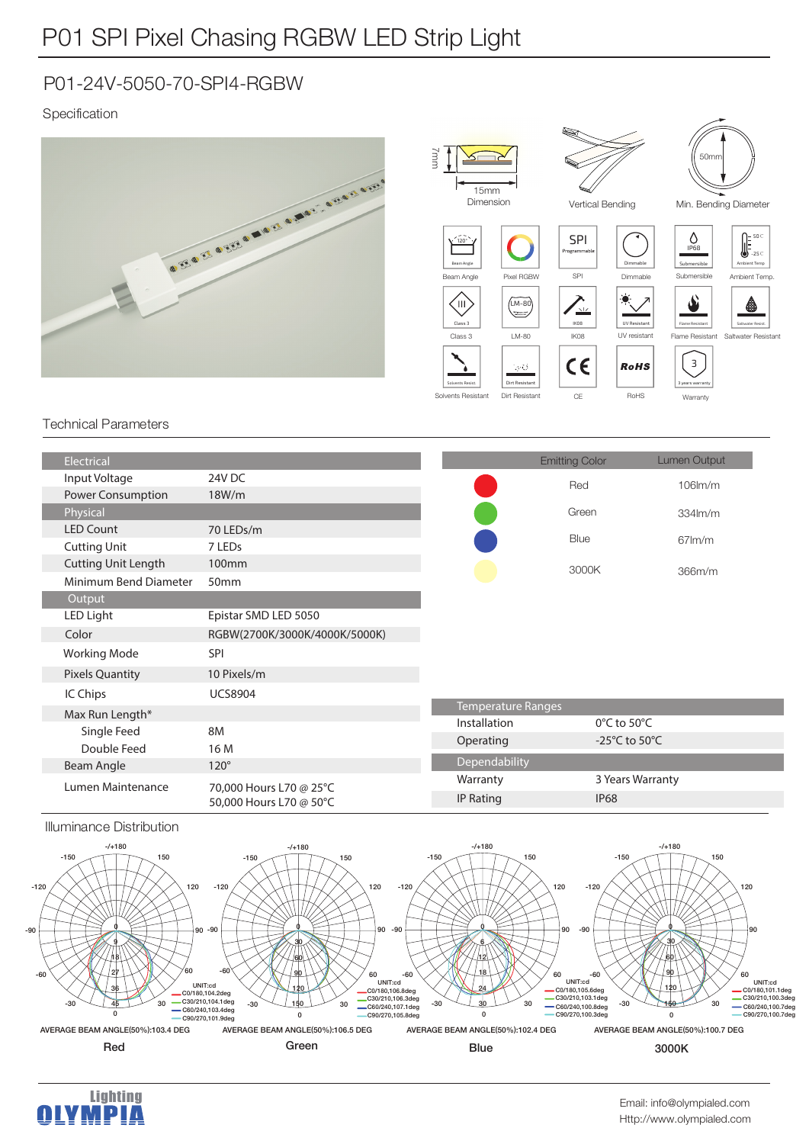## P01-24V-5050-70-SPI4-RGBW

### Specification



#### Technical Parameters

| Electrical                 |                                                    |                           | <b>Emitting Color</b>               | Lumen Output     |
|----------------------------|----------------------------------------------------|---------------------------|-------------------------------------|------------------|
| Input Voltage              | 24V DC                                             |                           | Red                                 | $106$ $m/m$      |
| <b>Power Consumption</b>   | 18W/m                                              |                           |                                     |                  |
| Physical                   |                                                    |                           | Green                               | 334lm/m          |
| <b>LED Count</b>           | 70 LEDs/m                                          |                           | Blue                                | $67$ m/m         |
| <b>Cutting Unit</b>        | 7 LEDs                                             |                           |                                     |                  |
| <b>Cutting Unit Length</b> | 100 <sub>mm</sub>                                  |                           | 3000K                               | 366m/m           |
| Minimum Bend Diameter      | 50mm                                               |                           |                                     |                  |
| Output                     |                                                    |                           |                                     |                  |
| LED Light                  | Epistar SMD LED 5050                               |                           |                                     |                  |
| Color                      | RGBW(2700K/3000K/4000K/5000K)                      |                           |                                     |                  |
| <b>Working Mode</b>        | <b>SPI</b>                                         |                           |                                     |                  |
| <b>Pixels Quantity</b>     | 10 Pixels/m                                        |                           |                                     |                  |
| IC Chips                   | <b>UCS8904</b>                                     |                           |                                     |                  |
| Max Run Length*            |                                                    | <b>Temperature Ranges</b> |                                     |                  |
| Single Feed                | 8M                                                 | Installation              | $0^{\circ}$ C to 50 $^{\circ}$ C    |                  |
| Double Feed                | 16 M                                               | Operating                 | -25 $^{\circ}$ C to 50 $^{\circ}$ C |                  |
| Beam Angle                 | $120^\circ$                                        | Dependability             |                                     |                  |
| Lumen Maintenance          | 70,000 Hours L70 @ 25°C<br>50,000 Hours L70 @ 50°C | Warranty                  |                                     | 3 Years Warranty |
|                            |                                                    | <b>IP Rating</b>          | <b>IP68</b>                         |                  |

#### Illuminance Distribution